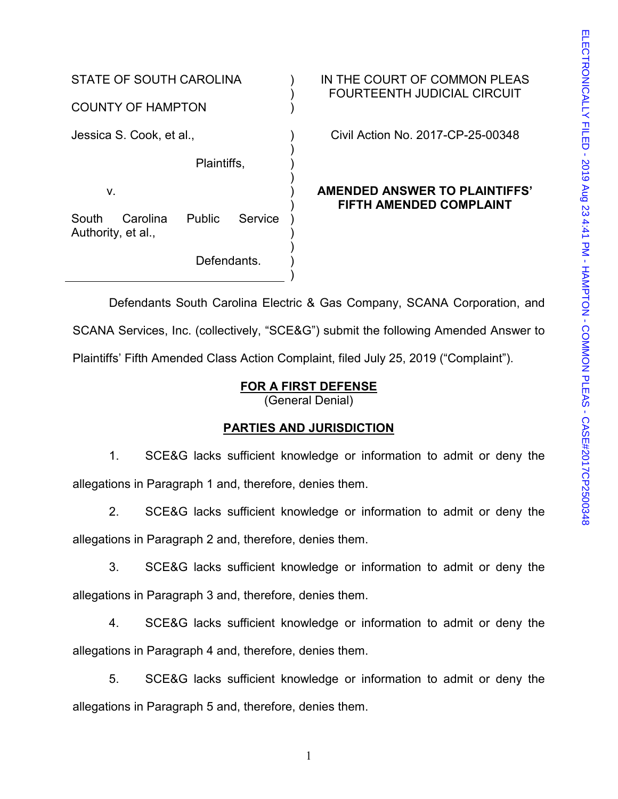STATE OF SOUTH CAROLINA COUNTY OF HAMPTON  $\mathcal{L}$ ) ) Jessica S. Cook, et al., Plaintiffs, v. South Carolina Public Service Authority, et al., Defendants. ) ) ) ) ) ) ) ) ) ) )

IN THE COURT OF COMMON PLEAS FOURTEENTH JUDICIAL CIRCUIT

Civil Action No. 2017-CP-25-00348

## **AMENDED ANSWER TO PLAINTIFFS' FIFTH AMENDED COMPLAINT**

Defendants South Carolina Electric & Gas Company, SCANA Corporation, and SCANA Services, Inc. (collectively, "SCE&G") submit the following Amended Answer to Plaintiffs' Fifth Amended Class Action Complaint, filed July 25, 2019 ("Complaint").

# **FOR A FIRST DEFENSE**

(General Denial)

## **PARTIES AND JURISDICTION**

1. SCE&G lacks sufficient knowledge or information to admit or deny the allegations in Paragraph 1 and, therefore, denies them.

2. SCE&G lacks sufficient knowledge or information to admit or deny the allegations in Paragraph 2 and, therefore, denies them.

3. SCE&G lacks sufficient knowledge or information to admit or deny the allegations in Paragraph 3 and, therefore, denies them.

4. SCE&G lacks sufficient knowledge or information to admit or deny the allegations in Paragraph 4 and, therefore, denies them.

5. SCE&G lacks sufficient knowledge or information to admit or deny the allegations in Paragraph 5 and, therefore, denies them.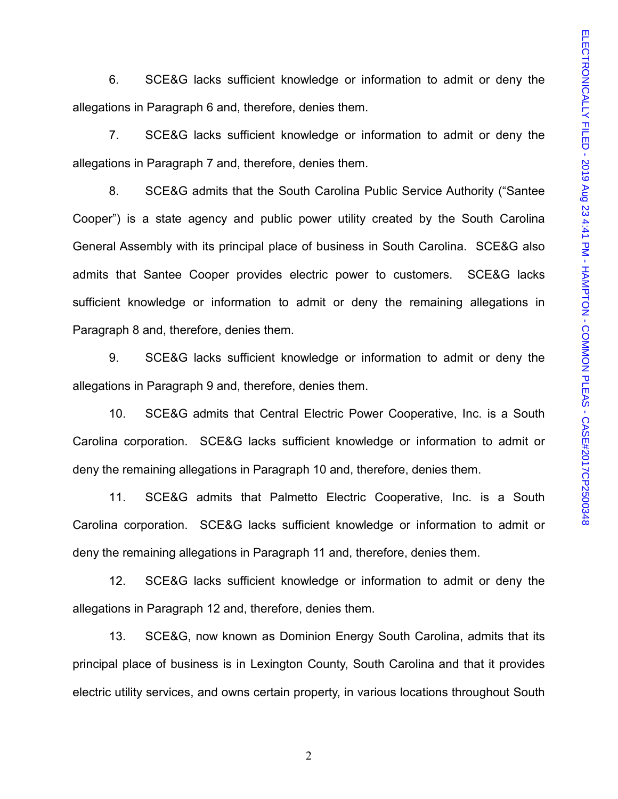6. SCE&G lacks sufficient knowledge or information to admit or deny the allegations in Paragraph 6 and, therefore, denies them.

7. SCE&G lacks sufficient knowledge or information to admit or deny the allegations in Paragraph 7 and, therefore, denies them.

8. SCE&G admits that the South Carolina Public Service Authority ("Santee Cooper") is a state agency and public power utility created by the South Carolina General Assembly with its principal place of business in South Carolina. SCE&G also admits that Santee Cooper provides electric power to customers. SCE&G lacks sufficient knowledge or information to admit or deny the remaining allegations in Paragraph 8 and, therefore, denies them.

9. SCE&G lacks sufficient knowledge or information to admit or deny the allegations in Paragraph 9 and, therefore, denies them.

10. SCE&G admits that Central Electric Power Cooperative, Inc. is a South Carolina corporation. SCE&G lacks sufficient knowledge or information to admit or deny the remaining allegations in Paragraph 10 and, therefore, denies them.

11. SCE&G admits that Palmetto Electric Cooperative, Inc. is a South Carolina corporation. SCE&G lacks sufficient knowledge or information to admit or deny the remaining allegations in Paragraph 11 and, therefore, denies them.

12. SCE&G lacks sufficient knowledge or information to admit or deny the allegations in Paragraph 12 and, therefore, denies them.

13. SCE&G, now known as Dominion Energy South Carolina, admits that its principal place of business is in Lexington County, South Carolina and that it provides electric utility services, and owns certain property, in various locations throughout South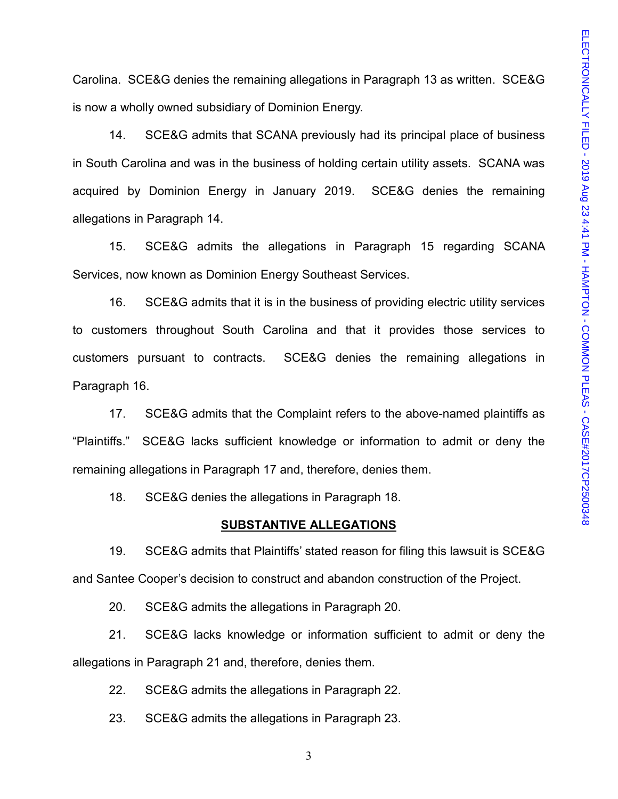Carolina. SCE&G denies the remaining allegations in Paragraph 13 as written. SCE&G is now a wholly owned subsidiary of Dominion Energy.

14. SCE&G admits that SCANA previously had its principal place of business in South Carolina and was in the business of holding certain utility assets. SCANA was acquired by Dominion Energy in January 2019. SCE&G denies the remaining allegations in Paragraph 14.

15. SCE&G admits the allegations in Paragraph 15 regarding SCANA Services, now known as Dominion Energy Southeast Services.

16. SCE&G admits that it is in the business of providing electric utility services to customers throughout South Carolina and that it provides those services to customers pursuant to contracts. SCE&G denies the remaining allegations in Paragraph 16.

17. SCE&G admits that the Complaint refers to the above-named plaintiffs as "Plaintiffs." SCE&G lacks sufficient knowledge or information to admit or deny the remaining allegations in Paragraph 17 and, therefore, denies them.

18. SCE&G denies the allegations in Paragraph 18.

#### **SUBSTANTIVE ALLEGATIONS**

19. SCE&G admits that Plaintiffs' stated reason for filing this lawsuit is SCE&G and Santee Cooper's decision to construct and abandon construction of the Project.

20. SCE&G admits the allegations in Paragraph 20.

21. SCE&G lacks knowledge or information sufficient to admit or deny the allegations in Paragraph 21 and, therefore, denies them.

22. SCE&G admits the allegations in Paragraph 22.

23. SCE&G admits the allegations in Paragraph 23.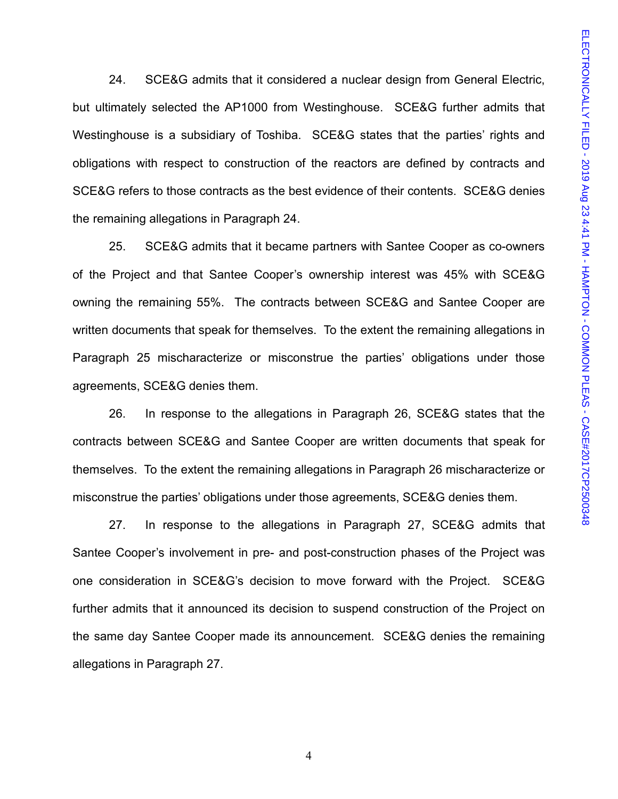24. SCE&G admits that it considered a nuclear design from General Electric, but ultimately selected the AP1000 from Westinghouse. SCE&G further admits that Westinghouse is a subsidiary of Toshiba. SCE&G states that the parties' rights and obligations with respect to construction of the reactors are defined by contracts and SCE&G refers to those contracts as the best evidence of their contents. SCE&G denies the remaining allegations in Paragraph 24.

25. SCE&G admits that it became partners with Santee Cooper as co-owners of the Project and that Santee Cooper's ownership interest was 45% with SCE&G owning the remaining 55%. The contracts between SCE&G and Santee Cooper are written documents that speak for themselves. To the extent the remaining allegations in Paragraph 25 mischaracterize or misconstrue the parties' obligations under those agreements, SCE&G denies them.

26. In response to the allegations in Paragraph 26, SCE&G states that the contracts between SCE&G and Santee Cooper are written documents that speak for themselves. To the extent the remaining allegations in Paragraph 26 mischaracterize or misconstrue the parties' obligations under those agreements, SCE&G denies them.

27. In response to the allegations in Paragraph 27, SCE&G admits that Santee Cooper's involvement in pre- and post-construction phases of the Project was one consideration in SCE&G's decision to move forward with the Project. SCE&G further admits that it announced its decision to suspend construction of the Project on the same day Santee Cooper made its announcement. SCE&G denies the remaining allegations in Paragraph 27.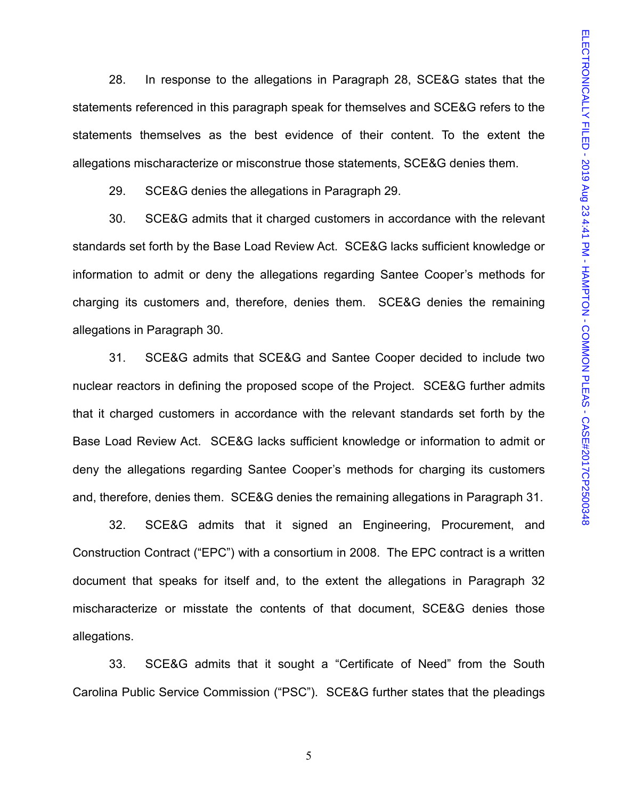28. In response to the allegations in Paragraph 28, SCE&G states that the statements referenced in this paragraph speak for themselves and SCE&G refers to the statements themselves as the best evidence of their content. To the extent the allegations mischaracterize or misconstrue those statements, SCE&G denies them.

29. SCE&G denies the allegations in Paragraph 29.

30. SCE&G admits that it charged customers in accordance with the relevant standards set forth by the Base Load Review Act. SCE&G lacks sufficient knowledge or information to admit or deny the allegations regarding Santee Cooper's methods for charging its customers and, therefore, denies them. SCE&G denies the remaining allegations in Paragraph 30.

31. SCE&G admits that SCE&G and Santee Cooper decided to include two nuclear reactors in defining the proposed scope of the Project. SCE&G further admits that it charged customers in accordance with the relevant standards set forth by the Base Load Review Act. SCE&G lacks sufficient knowledge or information to admit or deny the allegations regarding Santee Cooper's methods for charging its customers and, therefore, denies them. SCE&G denies the remaining allegations in Paragraph 31.

32. SCE&G admits that it signed an Engineering, Procurement, and Construction Contract ("EPC") with a consortium in 2008. The EPC contract is a written document that speaks for itself and, to the extent the allegations in Paragraph 32 mischaracterize or misstate the contents of that document, SCE&G denies those allegations.

33. SCE&G admits that it sought a "Certificate of Need" from the South Carolina Public Service Commission ("PSC"). SCE&G further states that the pleadings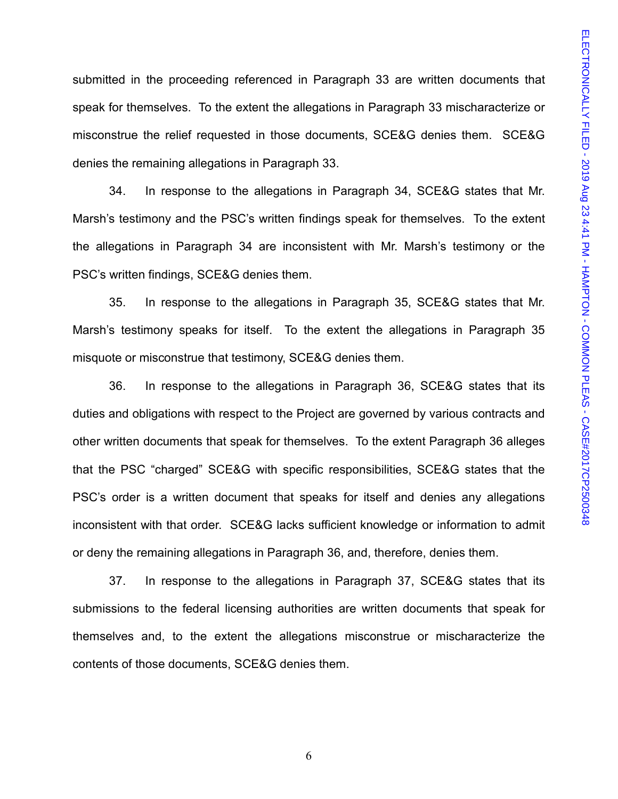submitted in the proceeding referenced in Paragraph 33 are written documents that speak for themselves. To the extent the allegations in Paragraph 33 mischaracterize or misconstrue the relief requested in those documents, SCE&G denies them. SCE&G denies the remaining allegations in Paragraph 33.

34. In response to the allegations in Paragraph 34, SCE&G states that Mr. Marsh's testimony and the PSC's written findings speak for themselves. To the extent the allegations in Paragraph 34 are inconsistent with Mr. Marsh's testimony or the PSC's written findings, SCE&G denies them.

35. In response to the allegations in Paragraph 35, SCE&G states that Mr. Marsh's testimony speaks for itself. To the extent the allegations in Paragraph 35 misquote or misconstrue that testimony, SCE&G denies them.

36. In response to the allegations in Paragraph 36, SCE&G states that its duties and obligations with respect to the Project are governed by various contracts and other written documents that speak for themselves. To the extent Paragraph 36 alleges that the PSC "charged" SCE&G with specific responsibilities, SCE&G states that the PSC's order is a written document that speaks for itself and denies any allegations inconsistent with that order. SCE&G lacks sufficient knowledge or information to admit or deny the remaining allegations in Paragraph 36, and, therefore, denies them.

37. In response to the allegations in Paragraph 37, SCE&G states that its submissions to the federal licensing authorities are written documents that speak for themselves and, to the extent the allegations misconstrue or mischaracterize the contents of those documents, SCE&G denies them.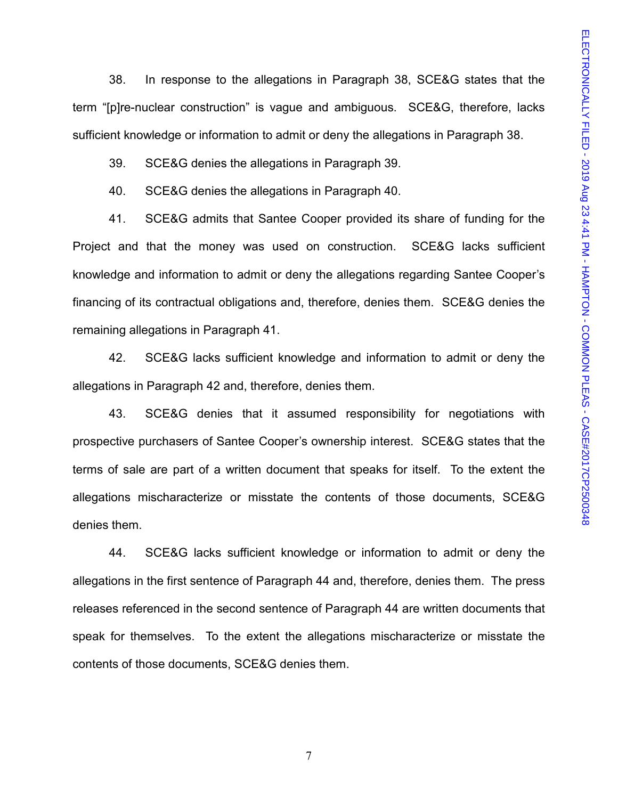38. In response to the allegations in Paragraph 38, SCE&G states that the term "[p]re-nuclear construction" is vague and ambiguous. SCE&G, therefore, lacks sufficient knowledge or information to admit or deny the allegations in Paragraph 38.

39. SCE&G denies the allegations in Paragraph 39.

40. SCE&G denies the allegations in Paragraph 40.

41. SCE&G admits that Santee Cooper provided its share of funding for the Project and that the money was used on construction. SCE&G lacks sufficient knowledge and information to admit or deny the allegations regarding Santee Cooper's financing of its contractual obligations and, therefore, denies them. SCE&G denies the remaining allegations in Paragraph 41.

42. SCE&G lacks sufficient knowledge and information to admit or deny the allegations in Paragraph 42 and, therefore, denies them.

43. SCE&G denies that it assumed responsibility for negotiations with prospective purchasers of Santee Cooper's ownership interest. SCE&G states that the terms of sale are part of a written document that speaks for itself. To the extent the allegations mischaracterize or misstate the contents of those documents, SCE&G denies them.

44. SCE&G lacks sufficient knowledge or information to admit or deny the allegations in the first sentence of Paragraph 44 and, therefore, denies them. The press releases referenced in the second sentence of Paragraph 44 are written documents that speak for themselves. To the extent the allegations mischaracterize or misstate the contents of those documents, SCE&G denies them.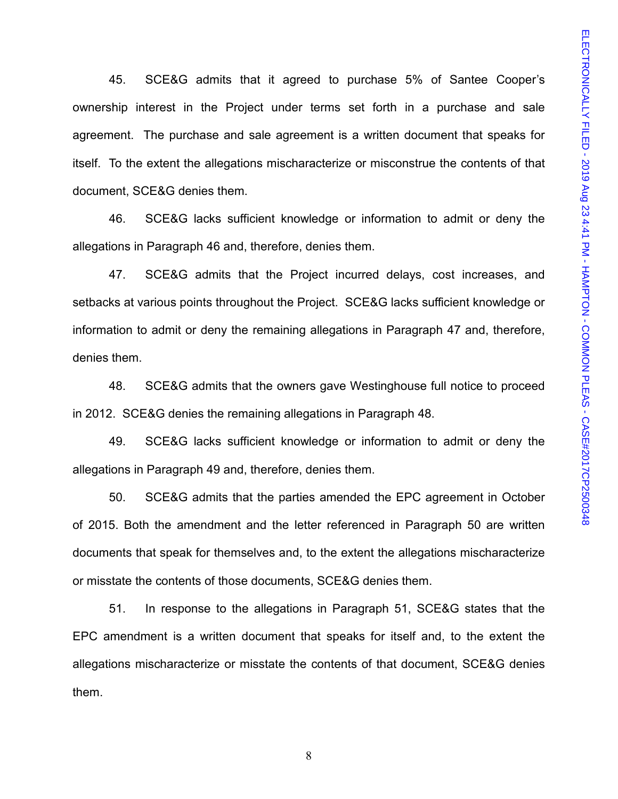45. SCE&G admits that it agreed to purchase 5% of Santee Cooper's ownership interest in the Project under terms set forth in a purchase and sale agreement. The purchase and sale agreement is a written document that speaks for itself. To the extent the allegations mischaracterize or misconstrue the contents of that document, SCE&G denies them.

46. SCE&G lacks sufficient knowledge or information to admit or deny the allegations in Paragraph 46 and, therefore, denies them.

47. SCE&G admits that the Project incurred delays, cost increases, and setbacks at various points throughout the Project. SCE&G lacks sufficient knowledge or information to admit or deny the remaining allegations in Paragraph 47 and, therefore, denies them.

48. SCE&G admits that the owners gave Westinghouse full notice to proceed in 2012. SCE&G denies the remaining allegations in Paragraph 48.

49. SCE&G lacks sufficient knowledge or information to admit or deny the allegations in Paragraph 49 and, therefore, denies them.

50. SCE&G admits that the parties amended the EPC agreement in October of 2015. Both the amendment and the letter referenced in Paragraph 50 are written documents that speak for themselves and, to the extent the allegations mischaracterize or misstate the contents of those documents, SCE&G denies them.

51. In response to the allegations in Paragraph 51, SCE&G states that the EPC amendment is a written document that speaks for itself and, to the extent the allegations mischaracterize or misstate the contents of that document, SCE&G denies them.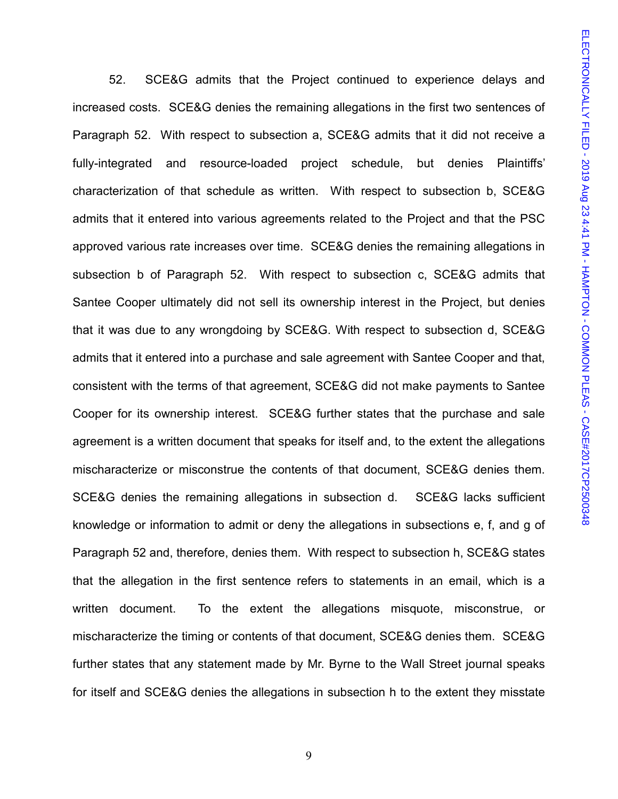52. SCE&G admits that the Project continued to experience delays and increased costs. SCE&G denies the remaining allegations in the first two sentences of Paragraph 52. With respect to subsection a, SCE&G admits that it did not receive a fully-integrated and resource-loaded project schedule, but denies Plaintiffs' characterization of that schedule as written. With respect to subsection b, SCE&G admits that it entered into various agreements related to the Project and that the PSC approved various rate increases over time. SCE&G denies the remaining allegations in subsection b of Paragraph 52. With respect to subsection c, SCE&G admits that Santee Cooper ultimately did not sell its ownership interest in the Project, but denies that it was due to any wrongdoing by SCE&G. With respect to subsection d, SCE&G admits that it entered into a purchase and sale agreement with Santee Cooper and that, consistent with the terms of that agreement, SCE&G did not make payments to Santee Cooper for its ownership interest. SCE&G further states that the purchase and sale agreement is a written document that speaks for itself and, to the extent the allegations mischaracterize or misconstrue the contents of that document, SCE&G denies them. SCE&G denies the remaining allegations in subsection d. SCE&G lacks sufficient knowledge or information to admit or deny the allegations in subsections e, f, and g of Paragraph 52 and, therefore, denies them. With respect to subsection h, SCE&G states that the allegation in the first sentence refers to statements in an email, which is a written document. To the extent the allegations misquote, misconstrue, or mischaracterize the timing or contents of that document, SCE&G denies them. SCE&G further states that any statement made by Mr. Byrne to the Wall Street journal speaks for itself and SCE&G denies the allegations in subsection h to the extent they misstate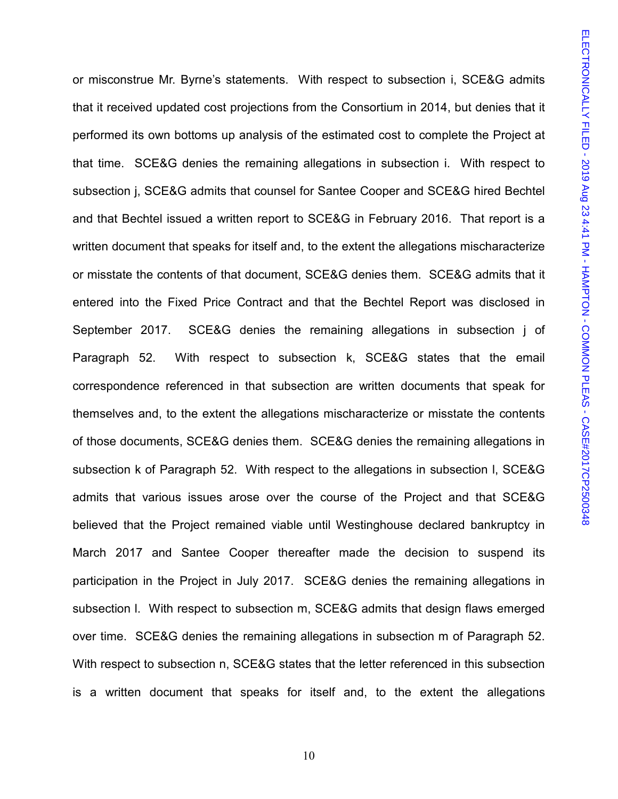or misconstrue Mr. Byrne's statements. With respect to subsection i, SCE&G admits that it received updated cost projections from the Consortium in 2014, but denies that it performed its own bottoms up analysis of the estimated cost to complete the Project at that time. SCE&G denies the remaining allegations in subsection i. With respect to subsection j, SCE&G admits that counsel for Santee Cooper and SCE&G hired Bechtel and that Bechtel issued a written report to SCE&G in February 2016. That report is a written document that speaks for itself and, to the extent the allegations mischaracterize or misstate the contents of that document, SCE&G denies them. SCE&G admits that it entered into the Fixed Price Contract and that the Bechtel Report was disclosed in September 2017. SCE&G denies the remaining allegations in subsection j of Paragraph 52. With respect to subsection k, SCE&G states that the email correspondence referenced in that subsection are written documents that speak for themselves and, to the extent the allegations mischaracterize or misstate the contents of those documents, SCE&G denies them. SCE&G denies the remaining allegations in subsection k of Paragraph 52. With respect to the allegations in subsection l, SCE&G admits that various issues arose over the course of the Project and that SCE&G believed that the Project remained viable until Westinghouse declared bankruptcy in March 2017 and Santee Cooper thereafter made the decision to suspend its participation in the Project in July 2017. SCE&G denies the remaining allegations in subsection l. With respect to subsection m, SCE&G admits that design flaws emerged over time. SCE&G denies the remaining allegations in subsection m of Paragraph 52. With respect to subsection n, SCE&G states that the letter referenced in this subsection is a written document that speaks for itself and, to the extent the allegations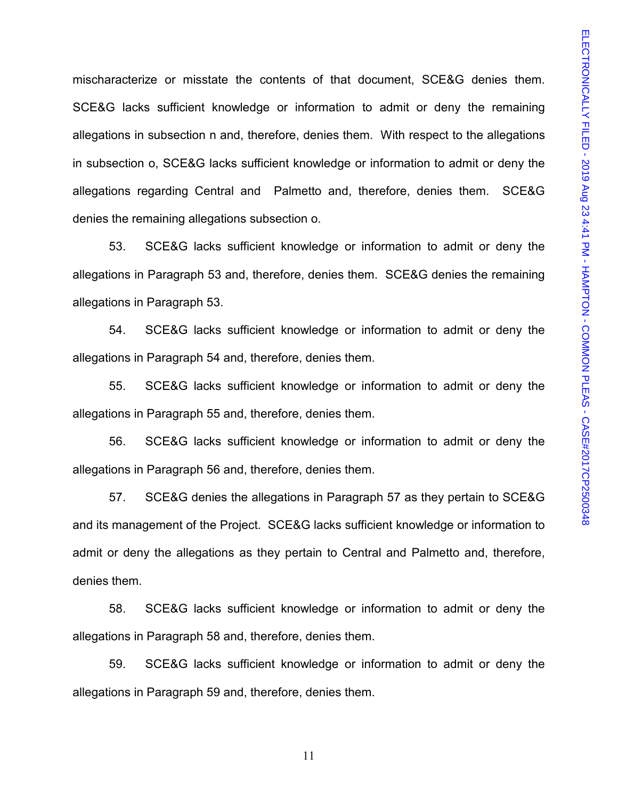mischaracterize or misstate the contents of that document, SCE&G denies them. SCE&G lacks sufficient knowledge or information to admit or deny the remaining allegations in subsection n and, therefore, denies them. With respect to the allegations in subsection o, SCE&G lacks sufficient knowledge or information to admit or deny the allegations regarding Central and Palmetto and, therefore, denies them. SCE&G denies the remaining allegations subsection o.

53. SCE&G lacks sufficient knowledge or information to admit or deny the allegations in Paragraph 53 and, therefore, denies them. SCE&G denies the remaining allegations in Paragraph 53.

54. SCE&G lacks sufficient knowledge or information to admit or deny the allegations in Paragraph 54 and, therefore, denies them.

55. SCE&G lacks sufficient knowledge or information to admit or deny the allegations in Paragraph 55 and, therefore, denies them.

56. SCE&G lacks sufficient knowledge or information to admit or deny the allegations in Paragraph 56 and, therefore, denies them.

57. SCE&G denies the allegations in Paragraph 57 as they pertain to SCE&G and its management of the Project. SCE&G lacks sufficient knowledge or information to admit or deny the allegations as they pertain to Central and Palmetto and, therefore, denies them.

58. SCE&G lacks sufficient knowledge or information to admit or deny the allegations in Paragraph 58 and, therefore, denies them.

59. SCE&G lacks sufficient knowledge or information to admit or deny the allegations in Paragraph 59 and, therefore, denies them.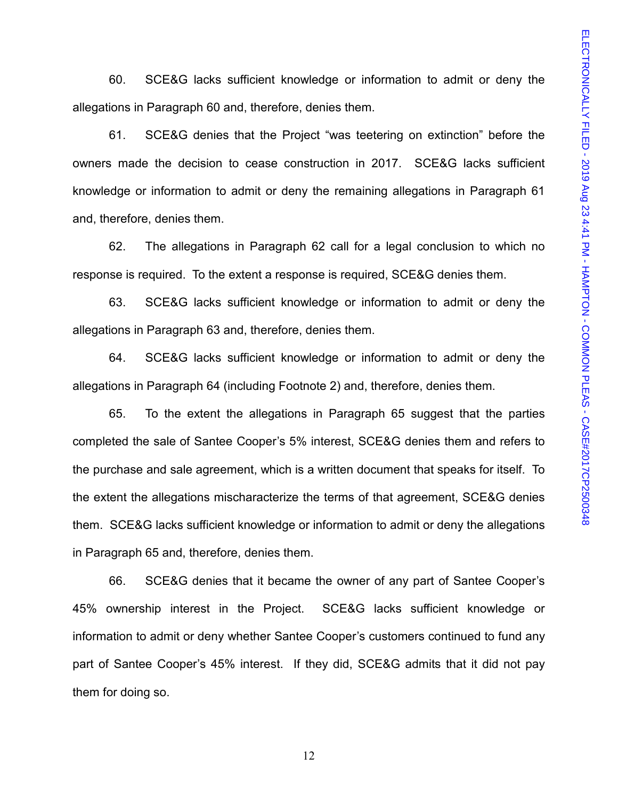60. SCE&G lacks sufficient knowledge or information to admit or deny the allegations in Paragraph 60 and, therefore, denies them.

61. SCE&G denies that the Project "was teetering on extinction" before the owners made the decision to cease construction in 2017. SCE&G lacks sufficient knowledge or information to admit or deny the remaining allegations in Paragraph 61 and, therefore, denies them.

62. The allegations in Paragraph 62 call for a legal conclusion to which no response is required. To the extent a response is required, SCE&G denies them.

63. SCE&G lacks sufficient knowledge or information to admit or deny the allegations in Paragraph 63 and, therefore, denies them.

64. SCE&G lacks sufficient knowledge or information to admit or deny the allegations in Paragraph 64 (including Footnote 2) and, therefore, denies them.

65. To the extent the allegations in Paragraph 65 suggest that the parties completed the sale of Santee Cooper's 5% interest, SCE&G denies them and refers to the purchase and sale agreement, which is a written document that speaks for itself. To the extent the allegations mischaracterize the terms of that agreement, SCE&G denies them. SCE&G lacks sufficient knowledge or information to admit or deny the allegations in Paragraph 65 and, therefore, denies them.

66. SCE&G denies that it became the owner of any part of Santee Cooper's 45% ownership interest in the Project. SCE&G lacks sufficient knowledge or information to admit or deny whether Santee Cooper's customers continued to fund any part of Santee Cooper's 45% interest. If they did, SCE&G admits that it did not pay them for doing so.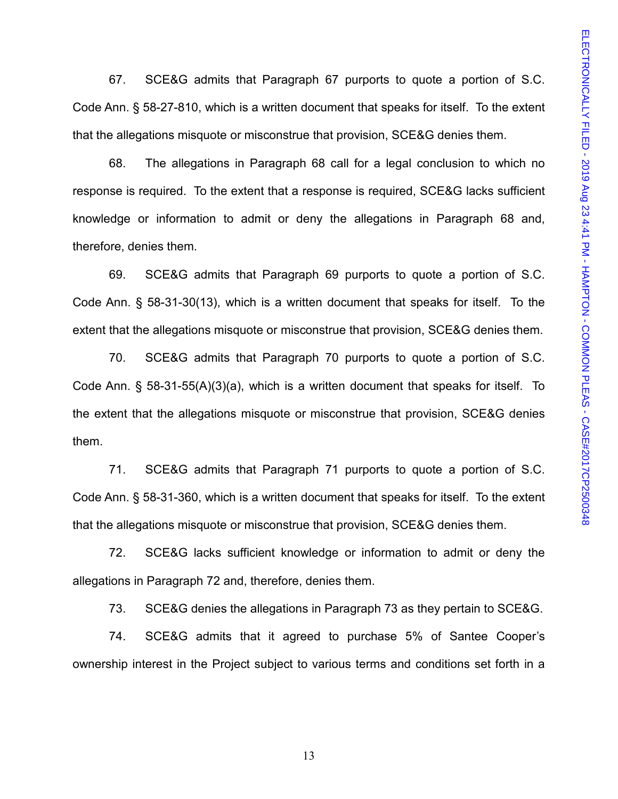67. SCE&G admits that Paragraph 67 purports to quote a portion of S.C. Code Ann. § 58-27-810, which is a written document that speaks for itself. To the extent that the allegations misquote or misconstrue that provision, SCE&G denies them.

68. The allegations in Paragraph 68 call for a legal conclusion to which no response is required. To the extent that a response is required, SCE&G lacks sufficient knowledge or information to admit or deny the allegations in Paragraph 68 and, therefore, denies them.

69. SCE&G admits that Paragraph 69 purports to quote a portion of S.C. Code Ann. § 58-31-30(13), which is a written document that speaks for itself. To the extent that the allegations misquote or misconstrue that provision, SCE&G denies them.

70. SCE&G admits that Paragraph 70 purports to quote a portion of S.C. Code Ann. § 58-31-55(A)(3)(a), which is a written document that speaks for itself. To the extent that the allegations misquote or misconstrue that provision, SCE&G denies them.

71. SCE&G admits that Paragraph 71 purports to quote a portion of S.C. Code Ann. § 58-31-360, which is a written document that speaks for itself. To the extent that the allegations misquote or misconstrue that provision, SCE&G denies them.

72. SCE&G lacks sufficient knowledge or information to admit or deny the allegations in Paragraph 72 and, therefore, denies them.

73. SCE&G denies the allegations in Paragraph 73 as they pertain to SCE&G.

74. SCE&G admits that it agreed to purchase 5% of Santee Cooper's ownership interest in the Project subject to various terms and conditions set forth in a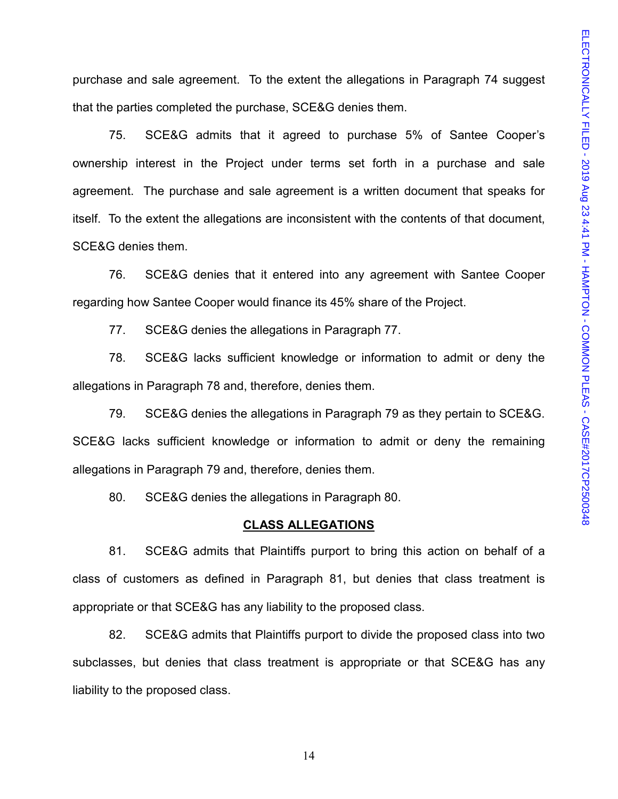purchase and sale agreement. To the extent the allegations in Paragraph 74 suggest that the parties completed the purchase, SCE&G denies them.

75. SCE&G admits that it agreed to purchase 5% of Santee Cooper's ownership interest in the Project under terms set forth in a purchase and sale agreement. The purchase and sale agreement is a written document that speaks for itself. To the extent the allegations are inconsistent with the contents of that document, SCE&G denies them.

76. SCE&G denies that it entered into any agreement with Santee Cooper regarding how Santee Cooper would finance its 45% share of the Project.

77. SCE&G denies the allegations in Paragraph 77.

78. SCE&G lacks sufficient knowledge or information to admit or deny the allegations in Paragraph 78 and, therefore, denies them.

79. SCE&G denies the allegations in Paragraph 79 as they pertain to SCE&G. SCE&G lacks sufficient knowledge or information to admit or deny the remaining allegations in Paragraph 79 and, therefore, denies them.

80. SCE&G denies the allegations in Paragraph 80.

#### **CLASS ALLEGATIONS**

81. SCE&G admits that Plaintiffs purport to bring this action on behalf of a class of customers as defined in Paragraph 81, but denies that class treatment is appropriate or that SCE&G has any liability to the proposed class.

82. SCE&G admits that Plaintiffs purport to divide the proposed class into two subclasses, but denies that class treatment is appropriate or that SCE&G has any liability to the proposed class.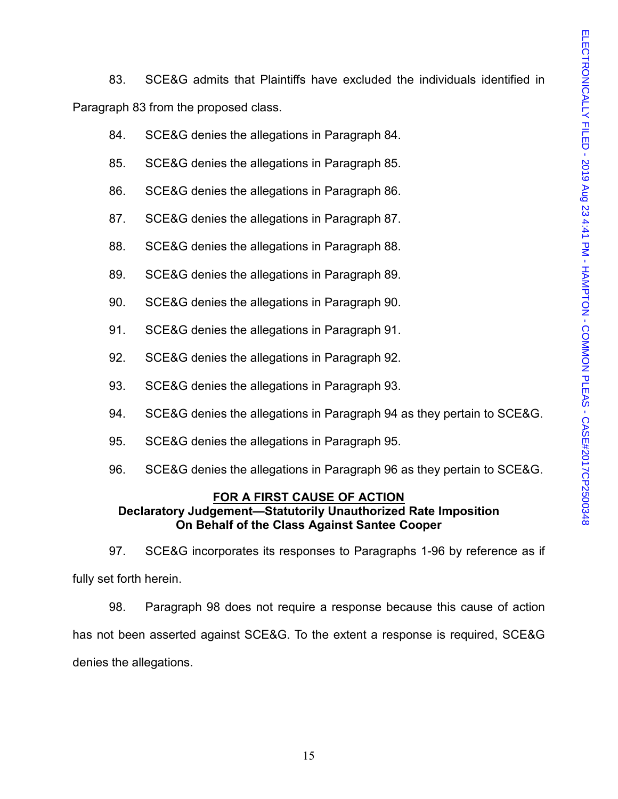83. SCE&G admits that Plaintiffs have excluded the individuals identified in Paragraph 83 from the proposed class.

- 84. SCE&G denies the allegations in Paragraph 84.
- 85. SCE&G denies the allegations in Paragraph 85.
- 86. SCE&G denies the allegations in Paragraph 86.
- 87. SCE&G denies the allegations in Paragraph 87.
- 88. SCE&G denies the allegations in Paragraph 88.
- 89. SCE&G denies the allegations in Paragraph 89.
- 90. SCE&G denies the allegations in Paragraph 90.
- 91. SCE&G denies the allegations in Paragraph 91.
- 92. SCE&G denies the allegations in Paragraph 92.
- 93. SCE&G denies the allegations in Paragraph 93.
- 94. SCE&G denies the allegations in Paragraph 94 as they pertain to SCE&G.
- 95. SCE&G denies the allegations in Paragraph 95.
- 96. SCE&G denies the allegations in Paragraph 96 as they pertain to SCE&G.

## **FOR A FIRST CAUSE OF ACTION**

## **Declaratory Judgement—Statutorily Unauthorized Rate Imposition On Behalf of the Class Against Santee Cooper**

97. SCE&G incorporates its responses to Paragraphs 1-96 by reference as if fully set forth herein.

98. Paragraph 98 does not require a response because this cause of action has not been asserted against SCE&G. To the extent a response is required, SCE&G denies the allegations.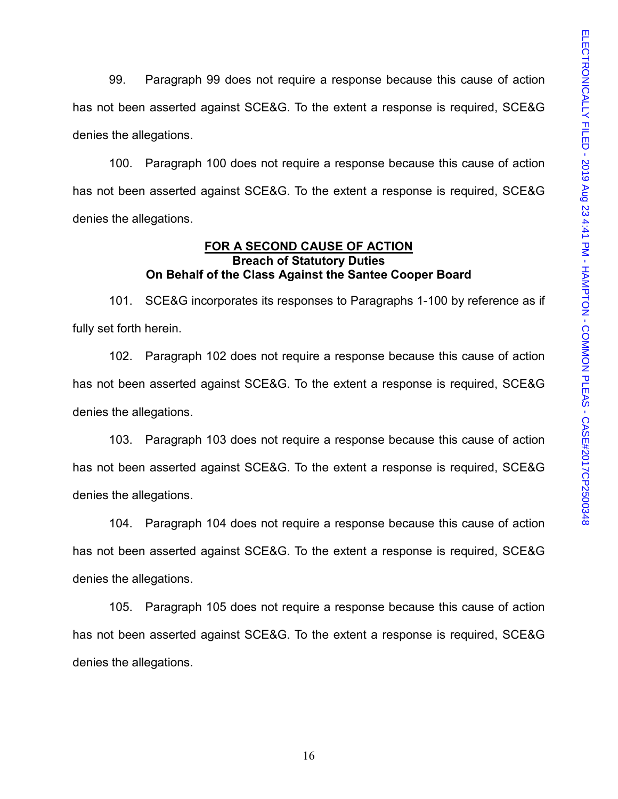99. Paragraph 99 does not require a response because this cause of action has not been asserted against SCE&G. To the extent a response is required, SCE&G denies the allegations.

100. Paragraph 100 does not require a response because this cause of action has not been asserted against SCE&G. To the extent a response is required, SCE&G denies the allegations.

#### **FOR A SECOND CAUSE OF ACTION Breach of Statutory Duties On Behalf of the Class Against the Santee Cooper Board**

101. SCE&G incorporates its responses to Paragraphs 1-100 by reference as if fully set forth herein.

102. Paragraph 102 does not require a response because this cause of action has not been asserted against SCE&G. To the extent a response is required, SCE&G denies the allegations.

103. Paragraph 103 does not require a response because this cause of action has not been asserted against SCE&G. To the extent a response is required, SCE&G denies the allegations.

104. Paragraph 104 does not require a response because this cause of action has not been asserted against SCE&G. To the extent a response is required, SCE&G denies the allegations.

105. Paragraph 105 does not require a response because this cause of action has not been asserted against SCE&G. To the extent a response is required, SCE&G denies the allegations.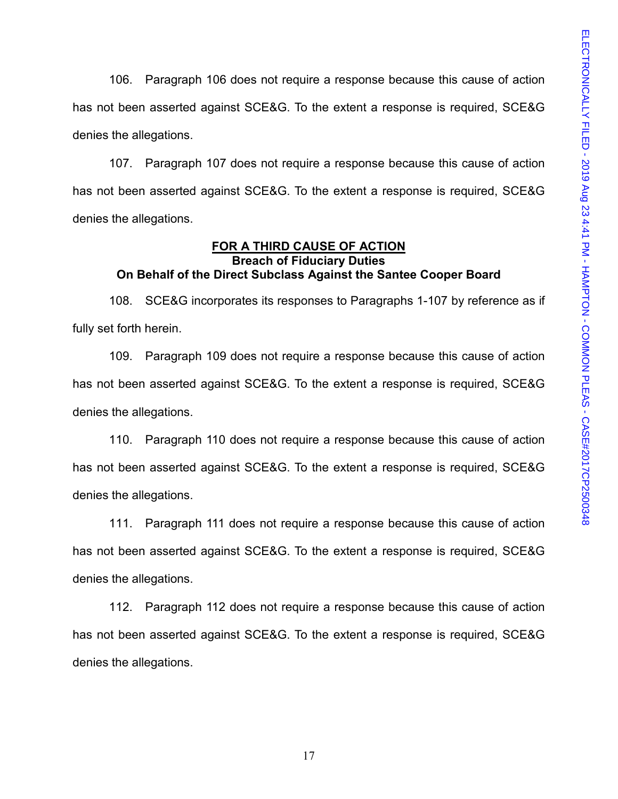106. Paragraph 106 does not require a response because this cause of action has not been asserted against SCE&G. To the extent a response is required, SCE&G denies the allegations.

107. Paragraph 107 does not require a response because this cause of action has not been asserted against SCE&G. To the extent a response is required, SCE&G denies the allegations.

#### **FOR A THIRD CAUSE OF ACTION Breach of Fiduciary Duties On Behalf of the Direct Subclass Against the Santee Cooper Board**

108. SCE&G incorporates its responses to Paragraphs 1-107 by reference as if fully set forth herein.

109. Paragraph 109 does not require a response because this cause of action has not been asserted against SCE&G. To the extent a response is required, SCE&G denies the allegations.

110. Paragraph 110 does not require a response because this cause of action has not been asserted against SCE&G. To the extent a response is required, SCE&G denies the allegations.

111. Paragraph 111 does not require a response because this cause of action has not been asserted against SCE&G. To the extent a response is required, SCE&G denies the allegations.

112. Paragraph 112 does not require a response because this cause of action has not been asserted against SCE&G. To the extent a response is required, SCE&G denies the allegations.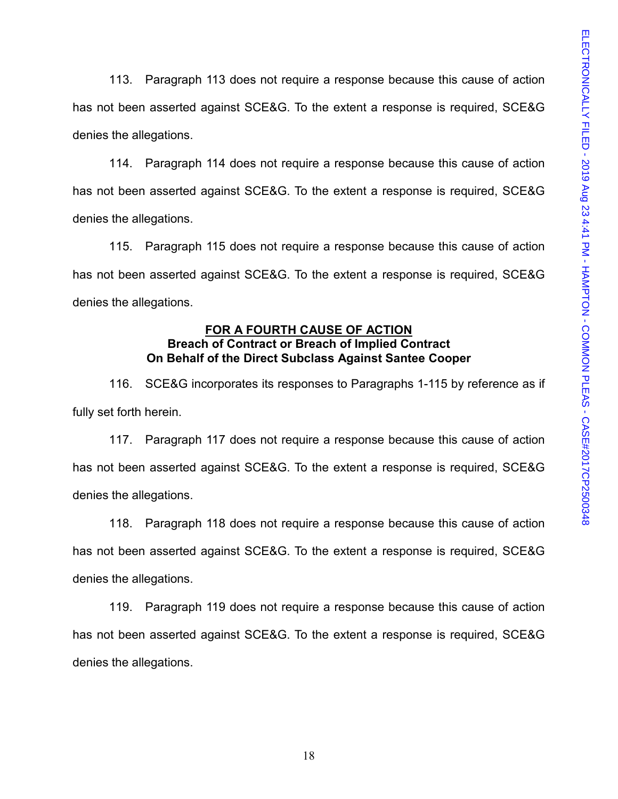113. Paragraph 113 does not require a response because this cause of action has not been asserted against SCE&G. To the extent a response is required, SCE&G denies the allegations.

114. Paragraph 114 does not require a response because this cause of action has not been asserted against SCE&G. To the extent a response is required, SCE&G denies the allegations.

115. Paragraph 115 does not require a response because this cause of action has not been asserted against SCE&G. To the extent a response is required, SCE&G denies the allegations.

## **FOR A FOURTH CAUSE OF ACTION Breach of Contract or Breach of Implied Contract On Behalf of the Direct Subclass Against Santee Cooper**

116. SCE&G incorporates its responses to Paragraphs 1-115 by reference as if fully set forth herein.

117. Paragraph 117 does not require a response because this cause of action has not been asserted against SCE&G. To the extent a response is required, SCE&G denies the allegations.

118. Paragraph 118 does not require a response because this cause of action has not been asserted against SCE&G. To the extent a response is required, SCE&G denies the allegations.

119. Paragraph 119 does not require a response because this cause of action has not been asserted against SCE&G. To the extent a response is required, SCE&G denies the allegations.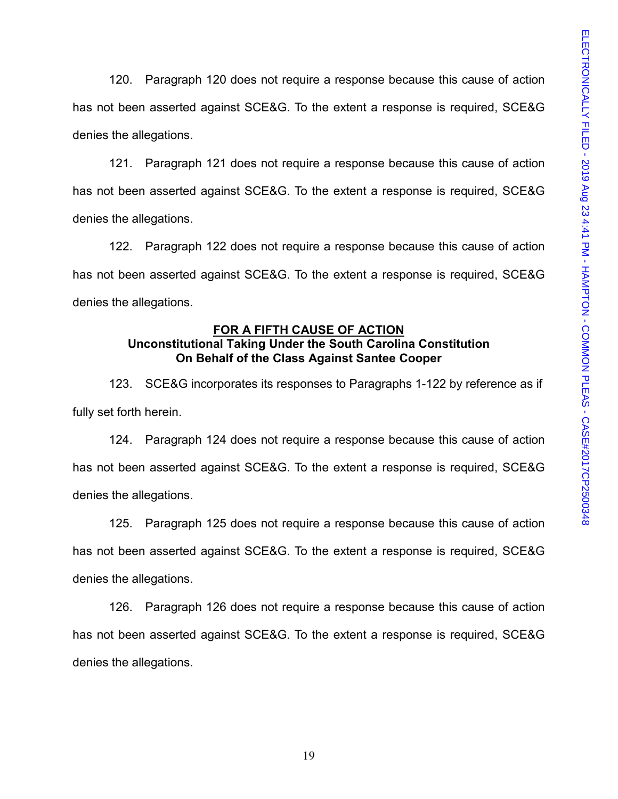120. Paragraph 120 does not require a response because this cause of action has not been asserted against SCE&G. To the extent a response is required, SCE&G denies the allegations.

121. Paragraph 121 does not require a response because this cause of action has not been asserted against SCE&G. To the extent a response is required, SCE&G denies the allegations.

122. Paragraph 122 does not require a response because this cause of action has not been asserted against SCE&G. To the extent a response is required, SCE&G denies the allegations.

#### **FOR A FIFTH CAUSE OF ACTION Unconstitutional Taking Under the South Carolina Constitution**

# **On Behalf of the Class Against Santee Cooper**

123. SCE&G incorporates its responses to Paragraphs 1-122 by reference as if fully set forth herein.

124. Paragraph 124 does not require a response because this cause of action has not been asserted against SCE&G. To the extent a response is required, SCE&G denies the allegations.

125. Paragraph 125 does not require a response because this cause of action has not been asserted against SCE&G. To the extent a response is required, SCE&G denies the allegations.

126. Paragraph 126 does not require a response because this cause of action has not been asserted against SCE&G. To the extent a response is required, SCE&G denies the allegations.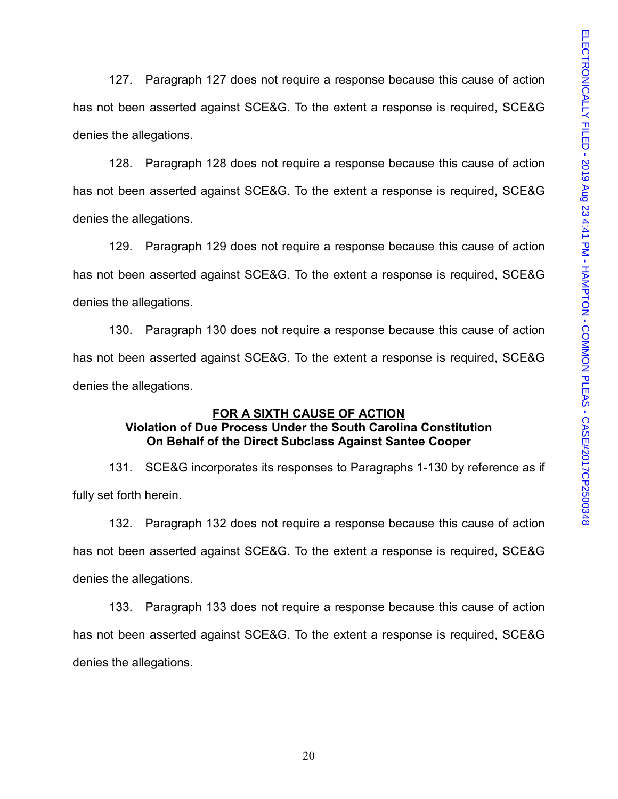127. Paragraph 127 does not require a response because this cause of action has not been asserted against SCE&G. To the extent a response is required, SCE&G denies the allegations.

128. Paragraph 128 does not require a response because this cause of action has not been asserted against SCE&G. To the extent a response is required, SCE&G denies the allegations.

129. Paragraph 129 does not require a response because this cause of action has not been asserted against SCE&G. To the extent a response is required, SCE&G denies the allegations.

130. Paragraph 130 does not require a response because this cause of action has not been asserted against SCE&G. To the extent a response is required, SCE&G denies the allegations.

## **FOR A SIXTH CAUSE OF ACTION**

## **Violation of Due Process Under the South Carolina Constitution On Behalf of the Direct Subclass Against Santee Cooper**

131. SCE&G incorporates its responses to Paragraphs 1-130 by reference as if fully set forth herein.

132. Paragraph 132 does not require a response because this cause of action has not been asserted against SCE&G. To the extent a response is required, SCE&G denies the allegations.

133. Paragraph 133 does not require a response because this cause of action has not been asserted against SCE&G. To the extent a response is required, SCE&G denies the allegations.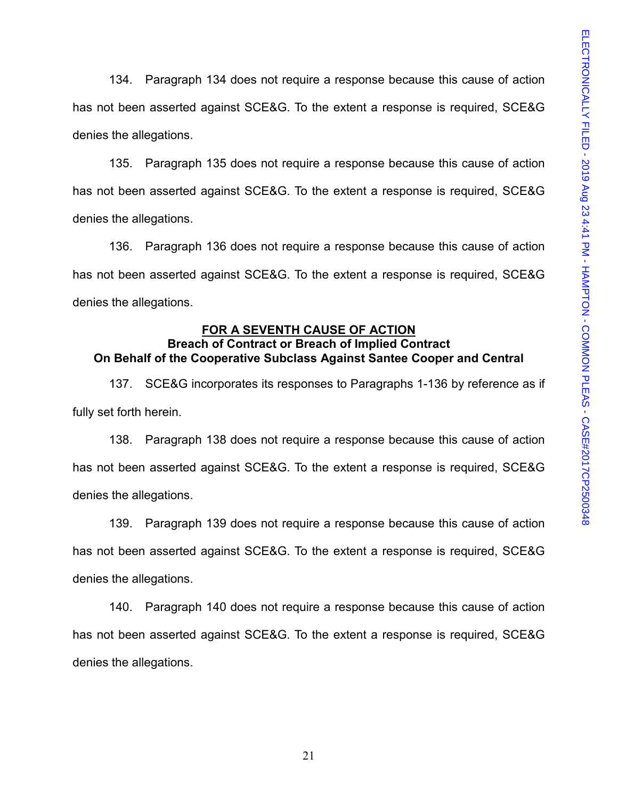134. Paragraph 134 does not require a response because this cause of action has not been asserted against SCE&G. To the extent a response is required, SCE&G denies the allegations.

135. Paragraph 135 does not require a response because this cause of action has not been asserted against SCE&G. To the extent a response is required, SCE&G denies the allegations.

136. Paragraph 136 does not require a response because this cause of action has not been asserted against SCE&G. To the extent a response is required, SCE&G denies the allegations.

#### **FOR A SEVENTH CAUSE OF ACTION**

## **Breach of Contract or Breach of Implied Contract On Behalf of the Cooperative Subclass Against Santee Cooper and Central**

137. SCE&G incorporates its responses to Paragraphs 1-136 by reference as if fully set forth herein.

138. Paragraph 138 does not require a response because this cause of action has not been asserted against SCE&G. To the extent a response is required, SCE&G denies the allegations.

139. Paragraph 139 does not require a response because this cause of action has not been asserted against SCE&G. To the extent a response is required, SCE&G denies the allegations.

140. Paragraph 140 does not require a response because this cause of action has not been asserted against SCE&G. To the extent a response is required, SCE&G denies the allegations.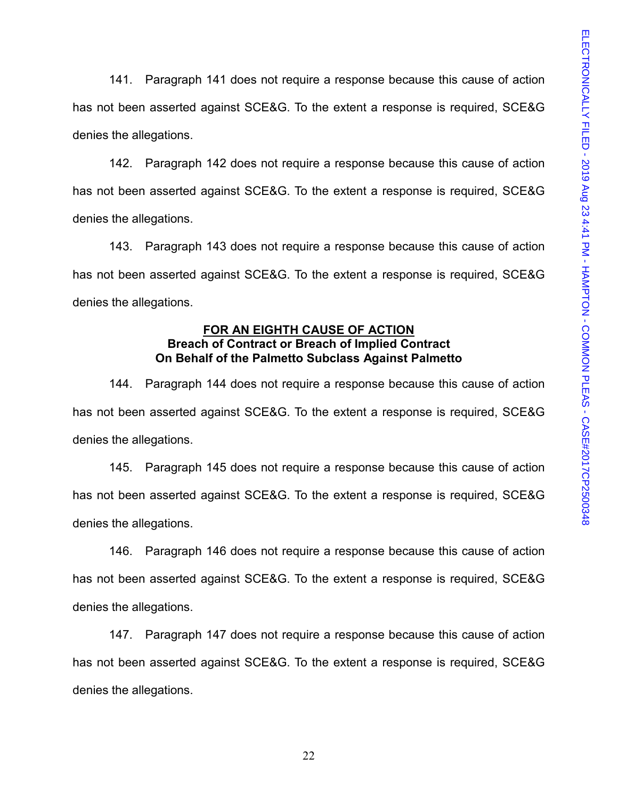141. Paragraph 141 does not require a response because this cause of action has not been asserted against SCE&G. To the extent a response is required, SCE&G denies the allegations.

142. Paragraph 142 does not require a response because this cause of action has not been asserted against SCE&G. To the extent a response is required, SCE&G denies the allegations.

143. Paragraph 143 does not require a response because this cause of action has not been asserted against SCE&G. To the extent a response is required, SCE&G denies the allegations.

## **FOR AN EIGHTH CAUSE OF ACTION Breach of Contract or Breach of Implied Contract On Behalf of the Palmetto Subclass Against Palmetto**

144. Paragraph 144 does not require a response because this cause of action has not been asserted against SCE&G. To the extent a response is required, SCE&G denies the allegations.

145. Paragraph 145 does not require a response because this cause of action has not been asserted against SCE&G. To the extent a response is required, SCE&G denies the allegations.

146. Paragraph 146 does not require a response because this cause of action has not been asserted against SCE&G. To the extent a response is required, SCE&G denies the allegations.

147. Paragraph 147 does not require a response because this cause of action has not been asserted against SCE&G. To the extent a response is required, SCE&G denies the allegations.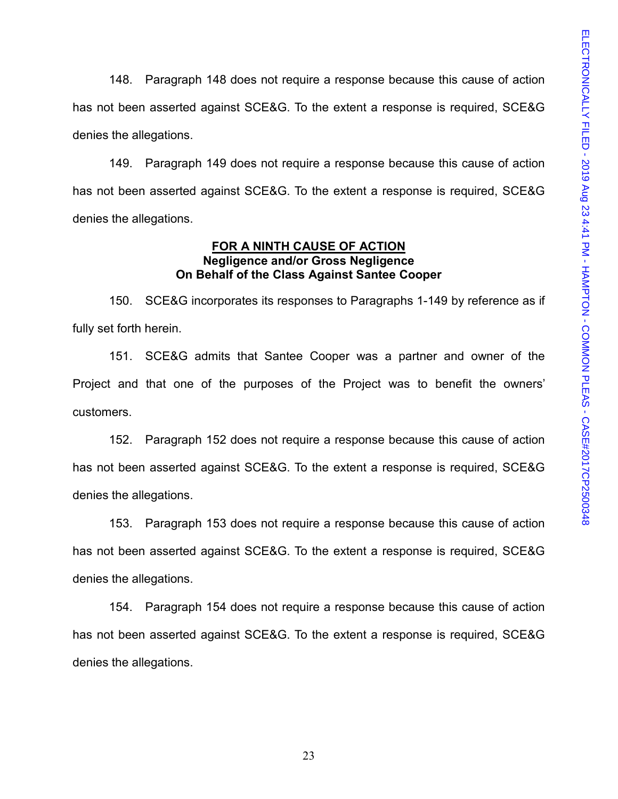148. Paragraph 148 does not require a response because this cause of action has not been asserted against SCE&G. To the extent a response is required, SCE&G denies the allegations.

149. Paragraph 149 does not require a response because this cause of action has not been asserted against SCE&G. To the extent a response is required, SCE&G denies the allegations.

#### **FOR A NINTH CAUSE OF ACTION Negligence and/or Gross Negligence On Behalf of the Class Against Santee Cooper**

150. SCE&G incorporates its responses to Paragraphs 1-149 by reference as if fully set forth herein.

151. SCE&G admits that Santee Cooper was a partner and owner of the Project and that one of the purposes of the Project was to benefit the owners' customers.

152. Paragraph 152 does not require a response because this cause of action has not been asserted against SCE&G. To the extent a response is required, SCE&G denies the allegations.

153. Paragraph 153 does not require a response because this cause of action has not been asserted against SCE&G. To the extent a response is required, SCE&G denies the allegations.

154. Paragraph 154 does not require a response because this cause of action has not been asserted against SCE&G. To the extent a response is required, SCE&G denies the allegations.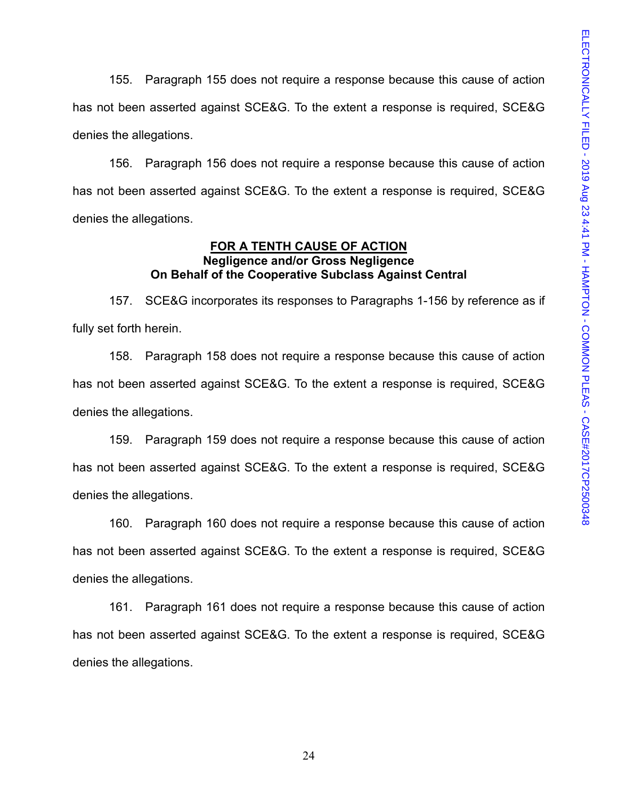155. Paragraph 155 does not require a response because this cause of action has not been asserted against SCE&G. To the extent a response is required, SCE&G denies the allegations.

156. Paragraph 156 does not require a response because this cause of action has not been asserted against SCE&G. To the extent a response is required, SCE&G denies the allegations.

#### **FOR A TENTH CAUSE OF ACTION Negligence and/or Gross Negligence On Behalf of the Cooperative Subclass Against Central**

157. SCE&G incorporates its responses to Paragraphs 1-156 by reference as if fully set forth herein.

158. Paragraph 158 does not require a response because this cause of action has not been asserted against SCE&G. To the extent a response is required, SCE&G denies the allegations.

159. Paragraph 159 does not require a response because this cause of action has not been asserted against SCE&G. To the extent a response is required, SCE&G denies the allegations.

160. Paragraph 160 does not require a response because this cause of action has not been asserted against SCE&G. To the extent a response is required, SCE&G denies the allegations.

161. Paragraph 161 does not require a response because this cause of action has not been asserted against SCE&G. To the extent a response is required, SCE&G denies the allegations.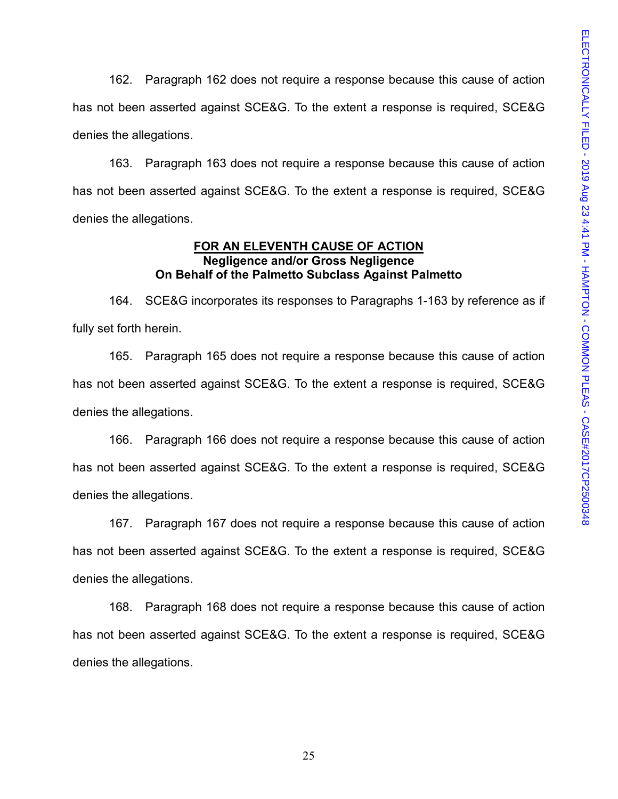162. Paragraph 162 does not require a response because this cause of action has not been asserted against SCE&G. To the extent a response is required, SCE&G denies the allegations.

163. Paragraph 163 does not require a response because this cause of action has not been asserted against SCE&G. To the extent a response is required, SCE&G denies the allegations.

#### **FOR AN ELEVENTH CAUSE OF ACTION Negligence and/or Gross Negligence On Behalf of the Palmetto Subclass Against Palmetto**

164. SCE&G incorporates its responses to Paragraphs 1-163 by reference as if fully set forth herein.

165. Paragraph 165 does not require a response because this cause of action has not been asserted against SCE&G. To the extent a response is required, SCE&G denies the allegations.

166. Paragraph 166 does not require a response because this cause of action has not been asserted against SCE&G. To the extent a response is required, SCE&G denies the allegations.

167. Paragraph 167 does not require a response because this cause of action has not been asserted against SCE&G. To the extent a response is required, SCE&G denies the allegations.

168. Paragraph 168 does not require a response because this cause of action has not been asserted against SCE&G. To the extent a response is required, SCE&G denies the allegations.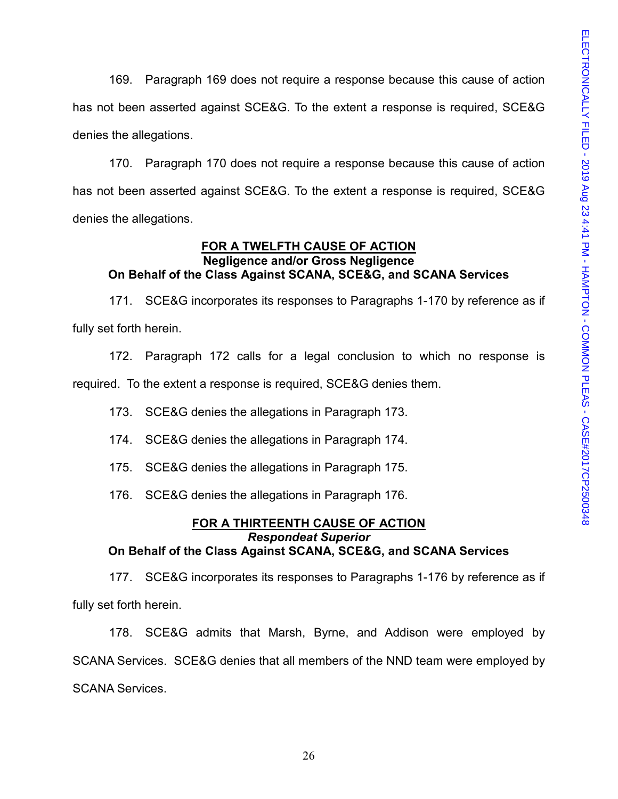169. Paragraph 169 does not require a response because this cause of action has not been asserted against SCE&G. To the extent a response is required, SCE&G denies the allegations.

170. Paragraph 170 does not require a response because this cause of action has not been asserted against SCE&G. To the extent a response is required, SCE&G denies the allegations.

## **FOR A TWELFTH CAUSE OF ACTION**

## **Negligence and/or Gross Negligence On Behalf of the Class Against SCANA, SCE&G, and SCANA Services**

171. SCE&G incorporates its responses to Paragraphs 1-170 by reference as if fully set forth herein.

172. Paragraph 172 calls for a legal conclusion to which no response is required. To the extent a response is required, SCE&G denies them.

173. SCE&G denies the allegations in Paragraph 173.

174. SCE&G denies the allegations in Paragraph 174.

175. SCE&G denies the allegations in Paragraph 175.

176. SCE&G denies the allegations in Paragraph 176.

#### **FOR A THIRTEENTH CAUSE OF ACTION** *Respondeat Superior* **On Behalf of the Class Against SCANA, SCE&G, and SCANA Services**

177. SCE&G incorporates its responses to Paragraphs 1-176 by reference as if fully set forth herein.

178. SCE&G admits that Marsh, Byrne, and Addison were employed by SCANA Services. SCE&G denies that all members of the NND team were employed by SCANA Services.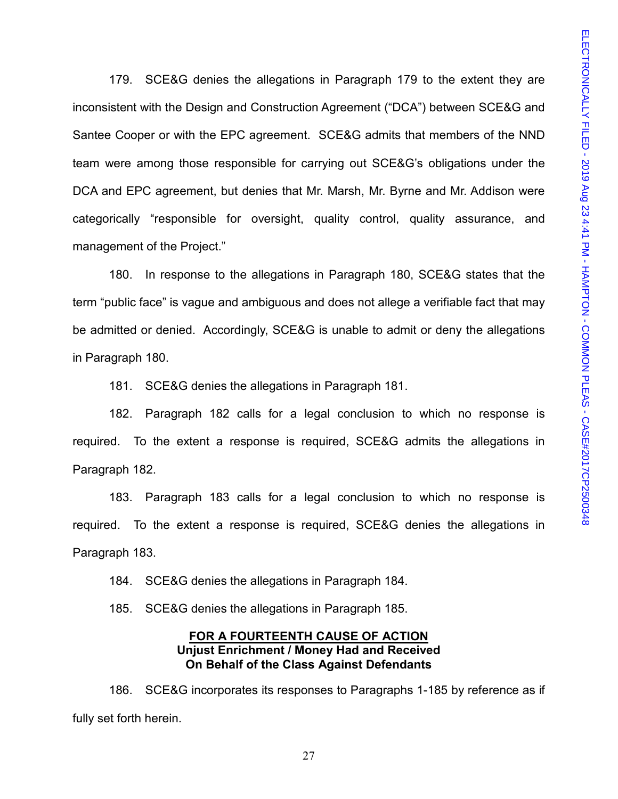179. SCE&G denies the allegations in Paragraph 179 to the extent they are inconsistent with the Design and Construction Agreement ("DCA") between SCE&G and Santee Cooper or with the EPC agreement. SCE&G admits that members of the NND team were among those responsible for carrying out SCE&G's obligations under the DCA and EPC agreement, but denies that Mr. Marsh, Mr. Byrne and Mr. Addison were categorically "responsible for oversight, quality control, quality assurance, and management of the Project."

180. In response to the allegations in Paragraph 180, SCE&G states that the term "public face" is vague and ambiguous and does not allege a verifiable fact that may be admitted or denied. Accordingly, SCE&G is unable to admit or deny the allegations in Paragraph 180.

181. SCE&G denies the allegations in Paragraph 181.

182. Paragraph 182 calls for a legal conclusion to which no response is required. To the extent a response is required, SCE&G admits the allegations in Paragraph 182.

183. Paragraph 183 calls for a legal conclusion to which no response is required. To the extent a response is required, SCE&G denies the allegations in Paragraph 183.

184. SCE&G denies the allegations in Paragraph 184.

185. SCE&G denies the allegations in Paragraph 185.

#### **FOR A FOURTEENTH CAUSE OF ACTION Unjust Enrichment / Money Had and Received On Behalf of the Class Against Defendants**

186. SCE&G incorporates its responses to Paragraphs 1-185 by reference as if fully set forth herein.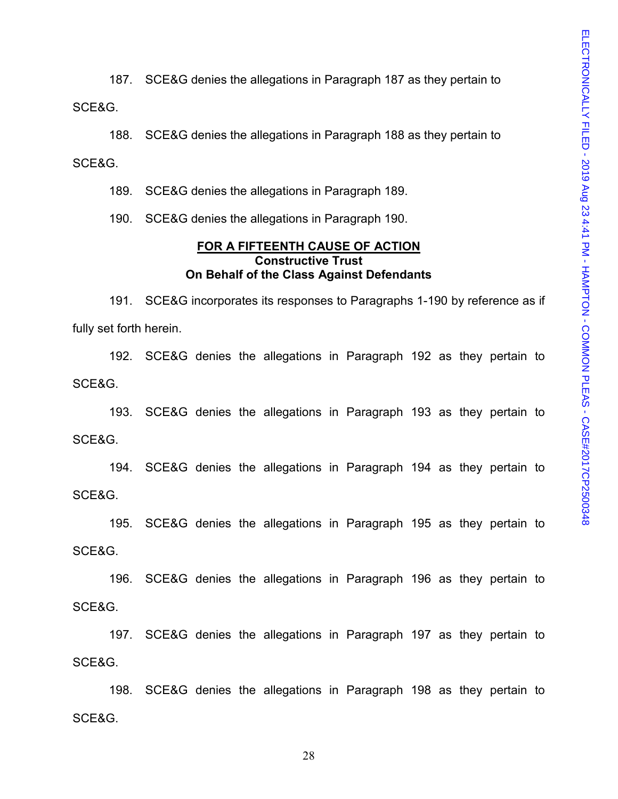187. SCE&G denies the allegations in Paragraph 187 as they pertain to SCE&G.

188. SCE&G denies the allegations in Paragraph 188 as they pertain to SCE&G.

189. SCE&G denies the allegations in Paragraph 189.

190. SCE&G denies the allegations in Paragraph 190.

#### **FOR A FIFTEENTH CAUSE OF ACTION Constructive Trust On Behalf of the Class Against Defendants**

191. SCE&G incorporates its responses to Paragraphs 1-190 by reference as if fully set forth herein.

192. SCE&G denies the allegations in Paragraph 192 as they pertain to SCE&G.

193. SCE&G denies the allegations in Paragraph 193 as they pertain to SCE&G.

194. SCE&G denies the allegations in Paragraph 194 as they pertain to SCE&G.

195. SCE&G denies the allegations in Paragraph 195 as they pertain to SCE&G.

196. SCE&G denies the allegations in Paragraph 196 as they pertain to SCE&G.

197. SCE&G denies the allegations in Paragraph 197 as they pertain to SCE&G.

198. SCE&G denies the allegations in Paragraph 198 as they pertain to SCE&G.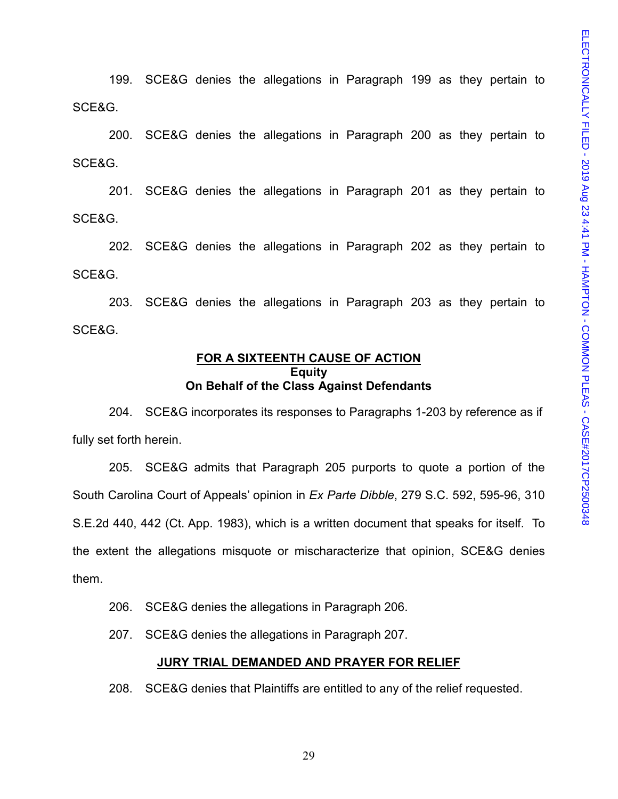199. SCE&G denies the allegations in Paragraph 199 as they pertain to SCE&G.

200. SCE&G denies the allegations in Paragraph 200 as they pertain to SCE&G.

201. SCE&G denies the allegations in Paragraph 201 as they pertain to SCE&G.

202. SCE&G denies the allegations in Paragraph 202 as they pertain to SCE&G.

203. SCE&G denies the allegations in Paragraph 203 as they pertain to SCE&G.

#### **FOR A SIXTEENTH CAUSE OF ACTION Equity On Behalf of the Class Against Defendants**

204. SCE&G incorporates its responses to Paragraphs 1-203 by reference as if fully set forth herein.

205. SCE&G admits that Paragraph 205 purports to quote a portion of the South Carolina Court of Appeals' opinion in *Ex Parte Dibble*, 279 S.C. 592, 595-96, 310 S.E.2d 440, 442 (Ct. App. 1983), which is a written document that speaks for itself. To the extent the allegations misquote or mischaracterize that opinion, SCE&G denies them.

206. SCE&G denies the allegations in Paragraph 206.

207. SCE&G denies the allegations in Paragraph 207.

#### **JURY TRIAL DEMANDED AND PRAYER FOR RELIEF**

208. SCE&G denies that Plaintiffs are entitled to any of the relief requested.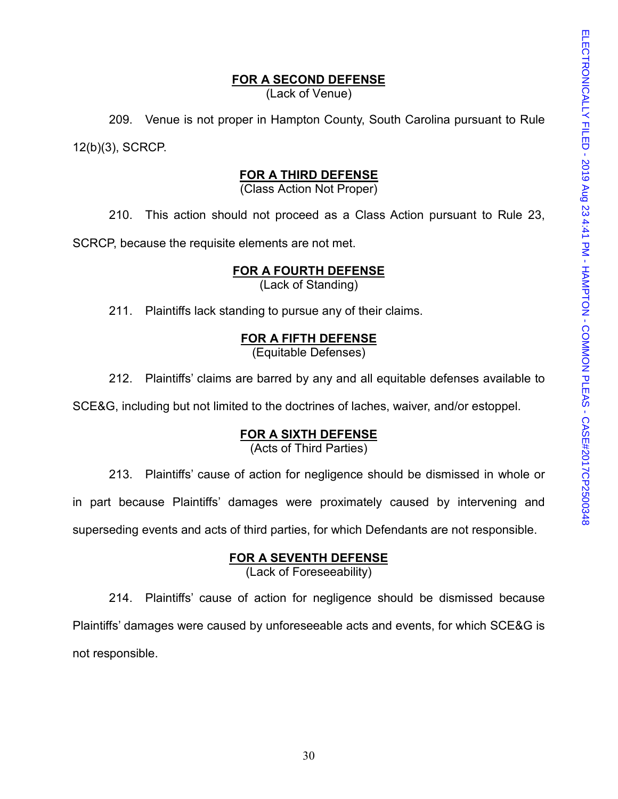## **FOR A SECOND DEFENSE**

(Lack of Venue)

209. Venue is not proper in Hampton County, South Carolina pursuant to Rule 12(b)(3), SCRCP.

#### **FOR A THIRD DEFENSE**

(Class Action Not Proper)

210. This action should not proceed as a Class Action pursuant to Rule 23,

SCRCP, because the requisite elements are not met.

## **FOR A FOURTH DEFENSE**

(Lack of Standing)

211. Plaintiffs lack standing to pursue any of their claims.

## **FOR A FIFTH DEFENSE**

(Equitable Defenses)

212. Plaintiffs' claims are barred by any and all equitable defenses available to

SCE&G, including but not limited to the doctrines of laches, waiver, and/or estoppel.

## **FOR A SIXTH DEFENSE**

(Acts of Third Parties)

213. Plaintiffs' cause of action for negligence should be dismissed in whole or

in part because Plaintiffs' damages were proximately caused by intervening and

superseding events and acts of third parties, for which Defendants are not responsible.

## **FOR A SEVENTH DEFENSE**

(Lack of Foreseeability)

214. Plaintiffs' cause of action for negligence should be dismissed because Plaintiffs' damages were caused by unforeseeable acts and events, for which SCE&G is not responsible.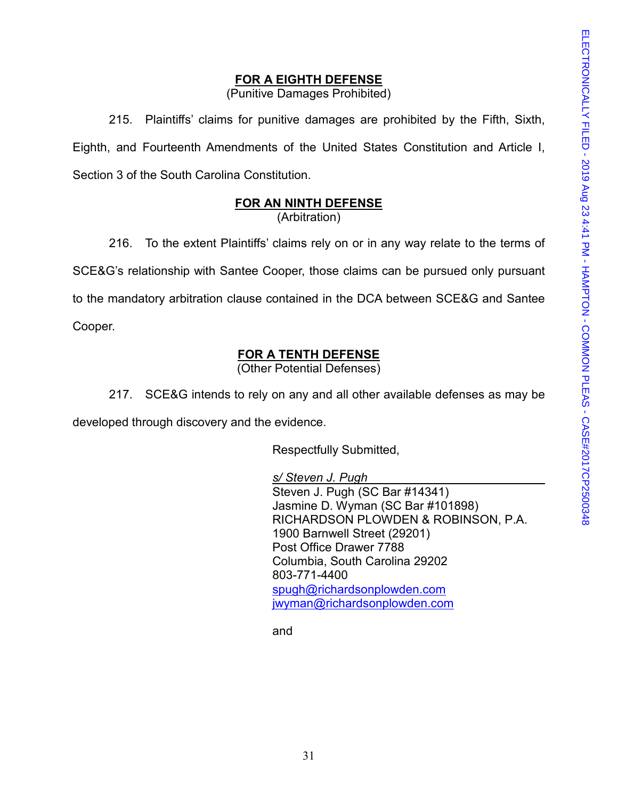## **FOR A EIGHTH DEFENSE**

(Punitive Damages Prohibited)

215. Plaintiffs' claims for punitive damages are prohibited by the Fifth, Sixth, Eighth, and Fourteenth Amendments of the United States Constitution and Article I, Section 3 of the South Carolina Constitution.

## **FOR AN NINTH DEFENSE**

(Arbitration)

216. To the extent Plaintiffs' claims rely on or in any way relate to the terms of SCE&G's relationship with Santee Cooper, those claims can be pursued only pursuant to the mandatory arbitration clause contained in the DCA between SCE&G and Santee Cooper.

# **FOR A TENTH DEFENSE**

(Other Potential Defenses)

217. SCE&G intends to rely on any and all other available defenses as may be developed through discovery and the evidence.

Respectfully Submitted,

*s/ Steven J. Pugh* Steven J. Pugh (SC Bar #14341) Jasmine D. Wyman (SC Bar #101898) RICHARDSON PLOWDEN & ROBINSON, P.A. 1900 Barnwell Street (29201) Post Office Drawer 7788 Columbia, South Carolina 29202 803-771-4400 [spugh@richardsonplowden.com](mailto:spugh@richardsonplowden.com) [jwyman@richardsonplowden.com](mailto:jwyman@richardsonplowden.com)

and